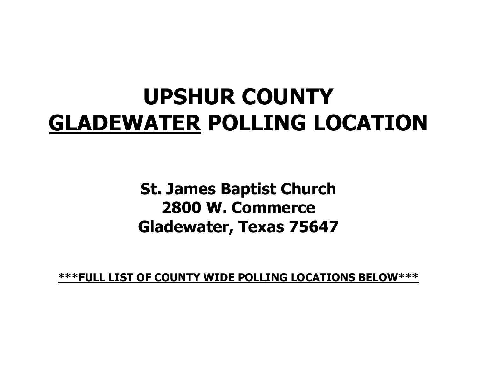## **UPSHUR COUNTY GLADEWATER POLLING LOCATION**

**St. James Baptist Church 2800 W. Commerce Gladewater, Texas 75647**

**\*\*\*FULL LIST OF COUNTY WIDE POLLING LOCATIONS BELOW\*\*\***